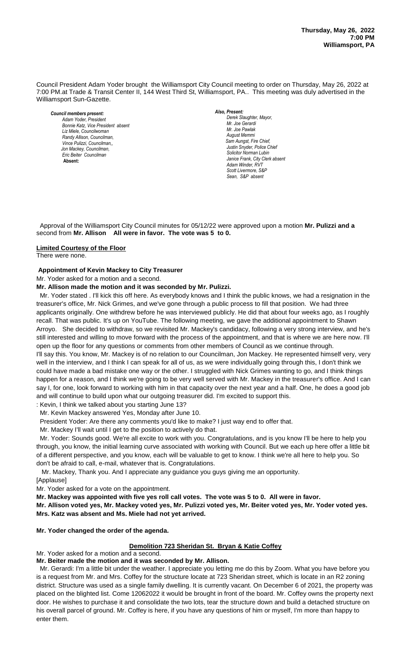Council President Adam Yoder brought the Williamsport City Council meeting to order on Thursday, May 26, 2022 at 7:00 PM.at Trade & Transit Center II, 144 West Third St, Williamsport, PA.. This meeting was duly advertised in the Williamsport Sun-Gazette.

*Council members present: Adam Yoder, President , President Bonnie Katz, Vice President absent Liz Miele, Councilwoman Randy Allison, Councilman, Vince Pulizzi, Councilman,, Jon Mackey, Councilman, Eric Beiter Councilman*  **Absent:** 

### *Also, Present:*

**Derek Slaughter, Mayor,** *Mr. Joe Gerardi Mr. Joseph Pawlak Mr. Joe Pawlak August Memmi*  $Sam$  Aungst, Fire Chief, *Justin Snyder, Police Chief Chief Heinbach absent Solicitor Norman Lubin Janice Frank, City Clerk absent Adam Winder, RVT Scott Livermore, S&P Sean, S&P absent*

 Approval of the Williamsport City Council minutes for 05/12/22 were approved upon a motion **Mr. Pulizzi and a** second from **Mr. Allison All were in favor. The vote was 5 to 0.** 

#### **Limited Courtesy of the Floor**

There were none.

#### **Appointment of Kevin Mackey to City Treasurer**

Mr. Yoder asked for a motion and a second.

#### **Mr. Allison made the motion and it was seconded by Mr. Pulizzi.** *Janice Frank, City Clerk, absent Todd Heckman, Fire Chief ,*

 Mr. Yoder stated . I'll kick this off here. As everybody knows and I think the public knows, we had a resignation in the treasurer's office, Mr. Nick Grimes, and we've gone through a public process to fill that position. We had three applicants originally. One withdrew before he was interviewed publicly. He did that about four weeks ago, as I roughly recall. That was public. It's up on YouTube. The following meeting, we gave the additional appointment to Shawn Arroyo. She decided to withdraw, so we revisited Mr. Mackey's candidacy, following a very strong interview, and he's still interested and willing to move forward with the process of the appointment, and that is where we are here now. I'll open up the floor for any questions or comments from other members of Council as we continue through. I'll say this. You know, Mr. Mackey is of no relation to our Councilman, Jon Mackey. He represented himself very, very well in the interview, and I think I can speak for all of us, as we were individually going through this, I don't think we could have made a bad mistake one way or the other. I struggled with Nick Grimes wanting to go, and I think things

happen for a reason, and I think we're going to be very well served with Mr. Mackey in the treasurer's office. And I can say I, for one, look forward to working with him in that capacity over the next year and a half. One, he does a good job and will continue to build upon what our outgoing treasurer did. I'm excited to support this.

: Kevin, I think we talked about you starting June 13?

Mr. Kevin Mackey answered Yes, Monday after June 10.

President Yoder: Are there any comments you'd like to make? I just way end to offer that.

Mr. Mackey I'll wait until I get to the position to actively do that.

 Mr. Yoder: Sounds good. We're all excite to work with you. Congratulations, and is you know I'll be here to help you through, you know, the initial learning curve associated with working with Council. But we each up here offer a little bit of a different perspective, and you know, each will be valuable to get to know. I think we're all here to help you. So don't be afraid to call, e-mail, whatever that is. Congratulations.

Mr. Mackey, Thank you. And I appreciate any guidance you guys giving me an opportunity.

[Applause]

Mr. Yoder asked for a vote on the appointment.

**Mr. Mackey was appointed with five yes roll call votes. The vote was 5 to 0. All were in favor.**

**Mr. Allison voted yes, Mr. Mackey voted yes, Mr. Pulizzi voted yes, Mr. Beiter voted yes, Mr. Yoder voted yes. Mrs. Katz was absent and Ms. Miele had not yet arrived.**

## **Mr. Yoder changed the order of the agenda.**

## **Demolition 723 Sheridan St. Bryan & Katie Coffey**

Mr. Yoder asked for a motion and a second.

## **Mr. Beiter made the motion and it was seconded by Mr. Allison.**

 Mr. Gerardi: I'm a little bit under the weather. I appreciate you letting me do this by Zoom. What you have before you is a request from Mr. and Mrs. Coffey for the structure locate at 723 Sheridan street, which is locate in an R2 zoning district. Structure was used as a single family dwelling. It is currently vacant. On December 6 of 2021, the property was placed on the blighted list. Come 12062022 it would be brought in front of the board. Mr. Coffey owns the property next door. He wishes to purchase it and consolidate the two lots, tear the structure down and build a detached structure on his overall parcel of ground. Mr. Coffey is here, if you have any questions of him or myself, I'm more than happy to enter them.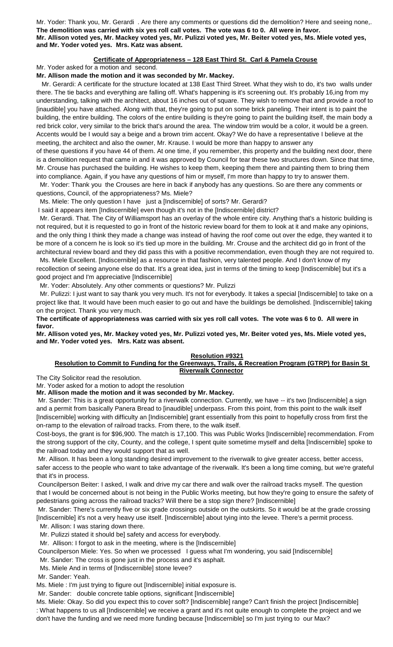Mr. Yoder: Thank you, Mr. Gerardi . Are there any comments or questions did the demolition? Here and seeing none,. **The demolition was carried with six yes roll call votes. The vote was 6 to 0. All were in favor. Mr. Allison voted yes, Mr. Mackey voted yes, Mr. Pulizzi voted yes, Mr. Beiter voted yes, Ms. Miele voted yes, and Mr. Yoder voted yes. Mrs. Katz was absent.**

## **Certificate of Appropriateness – 128 East Third St. Carl & Pamela Crouse**

Mr. Yoder asked for a motion and second.

## **Mr. Allison made the motion and it was seconded by Mr. Mackey.**

 Mr. Gerardi: A certificate for the structure located at 138 East Third Street. What they wish to do, it's two walls under there. The tie backs and everything are falling off. What's happening is it's screening out. It's probably 16,ing from my understanding, talking with the architect, about 16 inches out of square. They wish to remove that and provide a roof to [inaudible] you have attached. Along with that, they're going to put on some brick paneling. Their intent is to paint the building, the entire building. The colors of the entire building is they're going to paint the building itself, the main body a red brick color, very similar to the brick that's around the area. The window trim would be a color, it would be a green. Accents would be I would say a beige and a brown trim accent. Okay? We do have a representative I believe at the meeting, the architect and also the owner, Mr. Krause. I would be more than happy to answer any of these questions if you have 44 of them. At one time, if you remember, this property and the building next door, there

is a demolition request that came in and it was approved by Council for tear these two structures down. Since that time, Mr. Crouse has purchased the building. He wishes to keep them, keeping them there and painting them to bring them into compliance. Again, if you have any questions of him or myself, I'm more than happy to try to answer them.

 Mr. Yoder: Thank you the Crouses are here in back if anybody has any questions. So are there any comments or questions, Council, of the appropriateness? Ms. Miele?

Ms. Miele: The only question I have just a [Indiscernible] of sorts? Mr. Gerardi?

I said it appears item [Indiscernible] even though it's not in the [Indiscernible] district?

 Mr. Gerardi. That. The City of Williamsport has an overlay of the whole entire city. Anything that's a historic building is not required, but it is requested to go in front of the historic review board for them to look at it and make any opinions, and the only thing I think they made a change was instead of having the roof come out over the edge, they wanted it to be more of a concern he is look so it's tied up more in the building. Mr. Crouse and the architect did go in front of the architectural review board and they did pass this with a positive recommendation, even though they are not required to.

 Ms. Miele Excellent. [Indiscernible] as a resource in that fashion, very talented people. And I don't know of my recollection of seeing anyone else do that. It's a great idea, just in terms of the timing to keep [Indiscernible] but it's a good project and I'm appreciative [Indiscernible]

Mr. Yoder: Absolutely. Any other comments or questions? Mr. Pulizzi

 Mr. Pulizzi: I just want to say thank you very much. It's not for everybody. It takes a special [Indiscernible] to take on a project like that. It would have been much easier to go out and have the buildings be demolished. [Indiscernible] taking on the project. Thank you very much.

**The certificate of appropriateness was carried with six yes roll call votes. The vote was 6 to 0. All were in favor.** 

**Mr. Allison voted yes, Mr. Mackey voted yes, Mr. Pulizzi voted yes, Mr. Beiter voted yes, Ms. Miele voted yes, and Mr. Yoder voted yes. Mrs. Katz was absent.**

## **Resolution #9321**

## **Resolution to Commit to Funding for the Greenways, Trails, & Recreation Program (GTRP) for Basin St Riverwalk Connector**

The City Solicitor read the resolution.

Mr. Yoder asked for a motion to adopt the resolution

**Mr. Allison made the motion and it was seconded by Mr. Mackey.**

Mr. Sander: This is a great opportunity for a riverwalk connection. Currently, we have -- it's two [Indiscernible] a sign and a permit from basically Panera Bread to [inaudible] underpass. From this point, from this point to the walk itself [Indiscernible] working with difficulty an [Indiscernible] grant essentially from this point to hopefully cross from first the on-ramp to the elevation of railroad tracks. From there, to the walk itself.

Cost-boys, the grant is for \$96,900. The match is 17,100. This was Public Works [Indiscernible] recommendation. From the strong support of the city, County, and the college, I spent quite sometime myself and delta [Indiscernible] spoke to the railroad today and they would support that as well.

Mr. Allison. It has been a long standing desired improvement to the riverwalk to give greater access, better access, safer access to the people who want to take advantage of the riverwalk. It's been a long time coming, but we're grateful that it's in process.

Councilperson Beiter: I asked, I walk and drive my car there and walk over the railroad tracks myself. The question that I would be concerned about is not being in the Public Works meeting, but how they're going to ensure the safety of pedestrians going across the railroad tracks? Will there be a stop sign there? [Indiscernible]

Mr. Sander: There's currently five or six grade crossings outside on the outskirts. So it would be at the grade crossing [Indiscernible] it's not a very heavy use itself. [Indiscernible] about tying into the levee. There's a permit process.

Mr. Allison: I was staring down there.

Mr. Pulizzi stated it should be] safety and access for everybody.

 Mr. Allison: I forgot to ask in the meeting, where is the [Indiscernible] Councilperson Miele: Yes. So when we processed I guess what I'm wondering, you said [Indiscernible]

Mr. Sander: The cross is gone just in the process and it's asphalt.

Ms. Miele And in terms of [Indiscernible] stone levee?

Mr. Sander: Yeah.

Ms. Miele : I'm just trying to figure out [Indiscernible] initial exposure is.

Mr. Sander: double concrete table options, significant [Indiscernible]

Ms. Miele: Okay. So did you expect this to cover soft? [Indiscernible] range? Can't finish the project [Indiscernible] : What happens to us all [Indiscernible] we receive a grant and it's not quite enough to complete the project and we don't have the funding and we need more funding because [Indiscernible] so I'm just trying to our Max?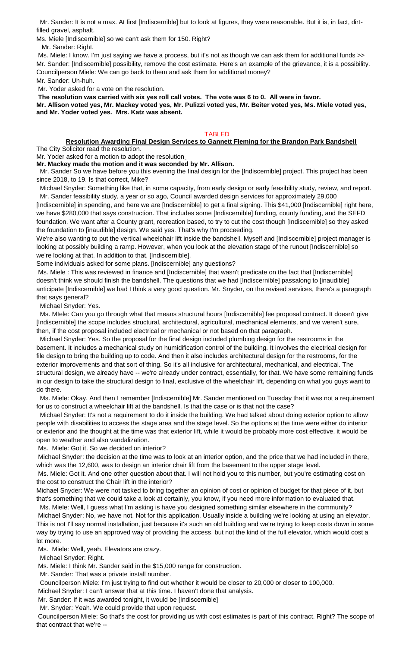Mr. Sander: It is not a max. At first [Indiscernible] but to look at figures, they were reasonable. But it is, in fact, dirtfilled gravel, asphalt.

Ms. Miele [Indiscernible] so we can't ask them for 150. Right?

Mr. Sander: Right.

Ms. Miele: I know. I'm just saying we have a process, but it's not as though we can ask them for additional funds >> Mr. Sander: [Indiscernible] possibility, remove the cost estimate. Here's an example of the grievance, it is a possibility. Councilperson Miele: We can go back to them and ask them for additional money?

Mr. Sander: Uh-huh.

Mr. Yoder asked for a vote on the resolution.

**The resolution was carried with six yes roll call votes. The vote was 6 to 0. All were in favor. Mr. Allison voted yes, Mr. Mackey voted yes, Mr. Pulizzi voted yes, Mr. Beiter voted yes, Ms. Miele voted yes, and Mr. Yoder voted yes. Mrs. Katz was absent.**

## TABLED

## **Resolution Awarding Final Design Services to Gannett Fleming for the Brandon Park Bandshell**

The City Solicitor read the resolution.

Mr. Yoder asked for a motion to adopt the resolution

**Mr. Mackey made the motion and it was seconded by Mr. Allison.** 

 Mr. Sander So we have before you this evening the final design for the [Indiscernible] project. This project has been since 2018, to 19. Is that correct, Mike?

Michael Snyder: Something like that, in some capacity, from early design or early feasibility study, review, and report. Mr. Sander feasibility study, a year or so ago, Council awarded design services for approximately 29,000

[Indiscernible] in spending, and here we are [Indiscernible] to get a final signing. This \$41,000 [Indiscernible] right here, we have \$280,000 that says construction. That includes some [Indiscernible] funding, county funding, and the SEFD foundation. We want after a County grant, recreation based, to try to cut the cost though [Indiscernible] so they asked the foundation to [inaudible] design. We said yes. That's why I'm proceeding.

We're also wanting to put the vertical wheelchair lift inside the bandshell. Myself and [Indiscernible] project manager is looking at possibly building a ramp. However, when you look at the elevation stage of the runout [Indiscernible] so we're looking at that. In addition to that, [Indiscernible].

Some individuals asked for some plans. [Indiscernible] any questions?

Ms. Miele : This was reviewed in finance and [Indiscernible] that wasn't predicate on the fact that [Indiscernible] doesn't think we should finish the bandshell. The questions that we had [Indiscernible] passalong to [inaudible] anticipate [Indiscernible] we had I think a very good question. Mr. Snyder, on the revised services, there's a paragraph that says general?

Michael Snyder: Yes.

 Ms. MIele: Can you go through what that means structural hours [Indiscernible] fee proposal contract. It doesn't give [Indiscernible] the scope includes structural, architectural, agricultural, mechanical elements, and we weren't sure, then, if the cost proposal included electrical or mechanical or not based on that paragraph.

 Michael Snyder: Yes. So the proposal for the final design included plumbing design for the restrooms in the basement. It includes a mechanical study on humidification control of the building. It involves the electrical design for file design to bring the building up to code. And then it also includes architectural design for the restrooms, for the exterior improvements and that sort of thing. So it's all inclusive for architectural, mechanical, and electrical. The structural design, we already have -- we're already under contract, essentially, for that. We have some remaining funds in our design to take the structural design to final, exclusive of the wheelchair lift, depending on what you guys want to do there.

 Ms. Miele: Okay. And then I remember [Indiscernible] Mr. Sander mentioned on Tuesday that it was not a requirement for us to construct a wheelchair lift at the bandshell. Is that the case or is that not the case?

Michael Snyder: It's not a requirement to do it inside the building. We had talked about doing exterior option to allow people with disabilities to access the stage area and the stage level. So the options at the time were either do interior or exterior and the thought at the time was that exterior lift, while it would be probably more cost effective, it would be open to weather and also vandalization.

Ms. Miele: Got it. So we decided on interior?

Michael Snyder: the decision at the time was to look at an interior option, and the price that we had included in there, which was the 12,600, was to design an interior chair lift from the basement to the upper stage level.

Ms. Miele: Got it. And one other question about that. I will not hold you to this number, but you're estimating cost on the cost to construct the Chair lift in the interior?

Michael Snyder: We were not tasked to bring together an opinion of cost or opinion of budget for that piece of it, but that's something that we could take a look at certainly, you know, if you need more information to evaluated that.

 Ms. Miele: Well, I guess what I'm asking is have you designed something similar elsewhere in the community? Michael Snyder: No, we have not. Not for this application. Usually inside a building we're looking at using an elevator. This is not I'll say normal installation, just because it's such an old building and we're trying to keep costs down in some way by trying to use an approved way of providing the access, but not the kind of the full elevator, which would cost a lot more.

Ms. Miele: Well, yeah. Elevators are crazy.

Michael Snyder: Right.

Ms. Miele: I think Mr. Sander said in the \$15,000 range for construction.

Mr. Sander: That was a private install number.

Councilperson Miele: I'm just trying to find out whether it would be closer to 20,000 or closer to 100,000.

Michael Snyder: I can't answer that at this time. I haven't done that analysis.

Mr. Sander: If it was awarded tonight, it would be [Indiscernible]

Mr. Snyder: Yeah. We could provide that upon request.

Councilperson Miele: So that's the cost for providing us with cost estimates is part of this contract. Right? The scope of that contract that we're --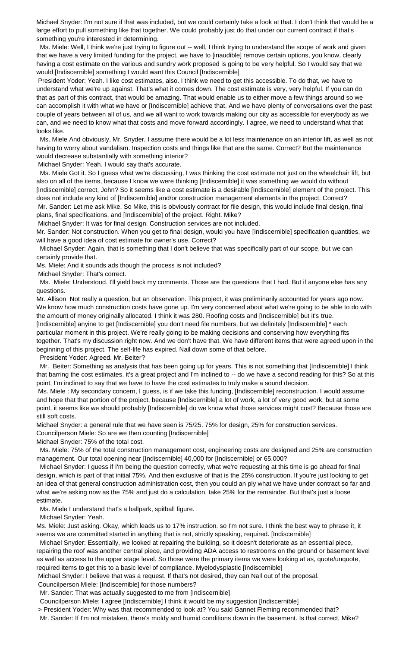Michael Snyder: I'm not sure if that was included, but we could certainly take a look at that. I don't think that would be a large effort to pull something like that together. We could probably just do that under our current contract if that's something you're interested in determining.

 Ms. Miele: Well, I think we're just trying to figure out -- well, I think trying to understand the scope of work and given that we have a very limited funding for the project, we have to [inaudible] remove certain options, you know, clearly having a cost estimate on the various and sundry work proposed is going to be very helpful. So I would say that we would [Indiscernible] something I would want this Council [Indiscernible]

President Yoder: Yeah. I like cost estimates, also. I think we need to get this accessible. To do that, we have to understand what we're up against. That's what it comes down. The cost estimate is very, very helpful. If you can do that as part of this contract, that would be amazing. That would enable us to either move a few things around so we can accomplish it with what we have or [Indiscernible] achieve that. And we have plenty of conversations over the past couple of years between all of us, and we all want to work towards making our city as accessible for everybody as we can, and we need to know what that costs and move forward accordingly. I agree, we need to understand what that looks like.

 Ms. Miele And obviously, Mr. Snyder, I assume there would be a lot less maintenance on an interior lift, as well as not having to worry about vandalism. Inspection costs and things like that are the same. Correct? But the maintenance would decrease substantially with something interior?

Michael Snyder: Yeah. I would say that's accurate.

 Ms. Miele Got it. So I guess what we're discussing, I was thinking the cost estimate not just on the wheelchair lift, but also on all of the items, because I know we were thinking [Indiscernible] it was something we would do without [Indiscernible] correct, John? So it seems like a cost estimate is a desirable [Indiscernible] element of the project. This does not include any kind of [Indiscernible] and/or construction management elements in the project. Correct? Mr. Sander: Let me ask Mike. So Mike, this is obviously contract for file design, this would include final design, final

plans, final specifications, and [Indiscernible] of the project. Right. Mike?

Michael Snyder: It was for final design. Construction services are not included.

Mr. Sander: Not construction. When you get to final design, would you have [Indiscernible] specification quantities, we will have a good idea of cost estimate for owner's use. Correct?

Michael Snyder: Again, that is something that I don't believe that was specifically part of our scope, but we can certainly provide that.

Ms. Miele: And it sounds ads though the process is not included?

Michael Snyder: That's correct.

 Ms. Miele: Understood. I'll yield back my comments. Those are the questions that I had. But if anyone else has any questions.

Mr. Allison Not really a question, but an observation. This project, it was preliminarily accounted for years ago now. We know how much construction costs have gone up. I'm very concerned about what we're going to be able to do with the amount of money originally allocated. I think it was 280. Roofing costs and [Indiscernible] but it's true. [Indiscernible] anyine to get [Indiscernible] you don't need file numbers, but we definitely [Indiscernible] \* each

particular moment in this project. We're really going to be making decisions and conserving how everything fits together. That's my discussion right now. And we don't have that. We have different items that were agreed upon in the beginning of this project. The self-life has expired. Nail down some of that before.

President Yoder: Agreed. Mr. Beiter?

 Mr. Beiter: Something as analysis that has been going up for years. This is not something that [Indiscernible] I think that barring the cost estimates, it's a great project and I'm inclined to -- do we have a second reading for this? So at this point, I'm inclined to say that we have to have the cost estimates to truly make a sound decision.

Ms. Miele : My secondary concern, I guess, is if we take this funding, [Indiscernible] reconstruction. I would assume and hope that that portion of the project, because [Indiscernible] a lot of work, a lot of very good work, but at some point, it seems like we should probably [Indiscernible] do we know what those services might cost? Because those are still soft costs.

Michael Snyder: a general rule that we have seen is 75/25. 75% for design, 25% for construction services. Councilperson Miele: So are we then counting [Indiscernible]

Michael Snyder: 75% of the total cost.

 Ms. Miele: 75% of the total construction management cost, engineering costs are designed and 25% are construction management. Our total opening near [Indiscernible] 40,000 for [Indiscernible] or 65,000?

Michael Snyder: I guess if I'm being the question correctly, what we're requesting at this time is go ahead for final design, which is part of that initial 75%. And then exclusive of that is the 25% construction. If you're just looking to get an idea of that general construction administration cost, then you could an ply what we have under contract so far and what we're asking now as the 75% and just do a calculation, take 25% for the remainder. But that's just a loose estimate.

Ms. Miele I understand that's a ballpark, spitball figure.

Michael Snyder: Yeah.

Ms. Miele: Just asking. Okay, which leads us to 17% instruction. so I'm not sure. I think the best way to phrase it, it seems we are committed started in anything that is not, strictly speaking, required. [Indiscernible]

 Michael Snyder: Essentially, we looked at repairing the building, so it doesn't deteriorate as an essential piece, repairing the roof was another central piece, and providing ADA access to restrooms on the ground or basement level as well as access to the upper stage level. So those were the primary items we were looking at as, quote/unquote, required items to get this to a basic level of compliance. Myelodysplastic [Indiscernible]

Michael Snyder: I believe that was a request. If that's not desired, they can Nall out of the proposal.

Councilperson Miele: [Indiscernible] for those numbers?

Mr. Sander: That was actually suggested to me from [Indiscernible]

Councilperson Miele: I agree [Indiscernible] I think it would be my suggestion [Indiscernible]

> President Yoder: Why was that recommended to look at? You said Gannet Fleming recommended that?

Mr. Sander: If I'm not mistaken, there's moldy and humid conditions down in the basement. Is that correct, Mike?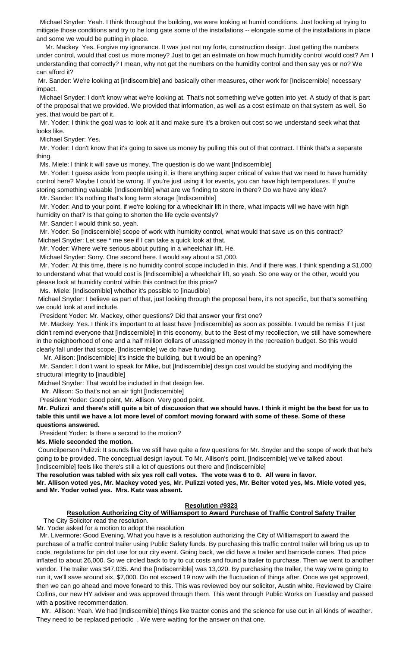Michael Snyder: Yeah. I think throughout the building, we were looking at humid conditions. Just looking at trying to mitigate those conditions and try to he long gate some of the installations -- elongate some of the installations in place and some we would be putting in place.

 Mr. Mackey Yes. Forgive my ignorance. It was just not my forte, construction design. Just getting the numbers under control, would that cost us more money? Just to get an estimate on how much humidity control would cost? Am I understanding that correctly? I mean, why not get the numbers on the humidity control and then say yes or no? We can afford it?

Mr. Sander: We're looking at [indiscernible] and basically other measures, other work for [Indiscernible] necessary impact.

Michael Snyder: I don't know what we're looking at. That's not something we've gotten into yet. A study of that is part of the proposal that we provided. We provided that information, as well as a cost estimate on that system as well. So yes, that would be part of it.

 Mr. Yoder: I think the goal was to look at it and make sure it's a broken out cost so we understand seek what that looks like.

Michael Snyder: Yes.

 Mr. Yoder: I don't know that it's going to save us money by pulling this out of that contract. I think that's a separate thing.

Ms. Miele: I think it will save us money. The question is do we want [Indiscernible]

 Mr. Yoder: I guess aside from people using it, is there anything super critical of value that we need to have humidity control here? Maybe I could be wrong. If you're just using it for events, you can have high temperatures. If you're storing something valuable [Indiscernible] what are we finding to store in there? Do we have any idea? Mr. Sander: It's nothing that's long term storage [Indiscernible]

 Mr. Yoder: And to your point, if we're looking for a wheelchair lift in there, what impacts will we have with high humidity on that? Is that going to shorten the life cycle eventsly?

Mr. Sander: I would think so, yeah.

 Mr. Yoder: So [Indiscernible] scope of work with humidity control, what would that save us on this contract? Michael Snyder: Let see \* me see if I can take a quick look at that.

Mr. Yoder: Where we're serious about putting in a wheelchair lift. He.

Michael Snyder: Sorry. One second here. I would say about a \$1,000.

 Mr. Yoder: At this time, there is no humidity control scope included in this. And if there was, I think spending a \$1,000 to understand what that would cost is [Indiscernible] a wheelchair lift, so yeah. So one way or the other, would you please look at humidity control within this contract for this price?

Ms. Miele: [Indiscernible] whether it's possible to [inaudible]

Michael Snyder: I believe as part of that, just looking through the proposal here, it's not specific, but that's something we could look at and include.

President Yoder: Mr. Mackey, other questions? Did that answer your first one?

 Mr. Mackey: Yes. I think it's important to at least have [Indiscernible] as soon as possible. I would be remiss if I just didn't remind everyone that [Indiscernible] in this economy, but to the Best of my recollection, we still have somewhere in the neighborhood of one and a half million dollars of unassigned money in the recreation budget. So this would clearly fall under that scope. [Indiscernible] we do have funding.

Mr. Allison: [Indiscernible] it's inside the building, but it would be an opening?

Mr. Sander: I don't want to speak for Mike, but [Indiscernible] design cost would be studying and modifying the structural integrity to [inaudible]

Michael Snyder: That would be included in that design fee.

Mr. Allison: So that's not an air tight [Indiscernible]

President Yoder: Good point, Mr. Allison. Very good point.

**Mr. Pulizzi and there's still quite a bit of discussion that we should have. I think it might be the best for us to table this until we have a lot more level of comfort moving forward with some of these. Some of these questions answered.**

President Yoder: Is there a second to the motion?

**Ms. Miele seconded the motion.**

Councilperson Pulizzi: It sounds like we still have quite a few questions for Mr. Snyder and the scope of work that he's going to be provided. The conceptual design layout. To Mr. Allison's point, [Indiscernible] we've talked about [Indiscernible] feels like there's still a lot of questions out there and [Indiscernible]

**The resolution was tabled with six yes roll call votes. The vote was 6 to 0. All were in favor.** 

**Mr. Allison voted yes, Mr. Mackey voted yes, Mr. Pulizzi voted yes, Mr. Beiter voted yes, Ms. Miele voted yes, and Mr. Yoder voted yes. Mrs. Katz was absent.**

## **Resolution #9323**

## **Resolution Authorizing City of Williamsport to Award Purchase of Traffic Control Safety Trailer**

The City Solicitor read the resolution.

Mr. Yoder asked for a motion to adopt the resolution Mr. Livermore: Good Evening. What you have is a resolution authorizing the City of Williamsport to award the purchase of a traffic control trailer using Public Safety funds. By purchasing this traffic control trailer will bring us up to code, regulations for pin dot use for our city event. Going back, we did have a trailer and barricade cones. That price inflated to about 26,000. So we circled back to try to cut costs and found a trailer to purchase. Then we went to another vendor. The trailer was \$47,035. And the [Indiscernible] was 13,020. By purchasing the trailer, the way we're going to run it, we'll save around six, \$7,000. Do not exceed 19 now with the fluctuation of things after. Once we get approved, then we can go ahead and move forward to this. This was reviewed boy our solicitor, Austin white. Reviewed by Claire Collins, our new HY adviser and was approved through them. This went through Public Works on Tuesday and passed with a positive recommendation.

 Mr. Allison: Yeah. We had [Indiscernible] things like tractor cones and the science for use out in all kinds of weather. They need to be replaced periodic . We were waiting for the answer on that one.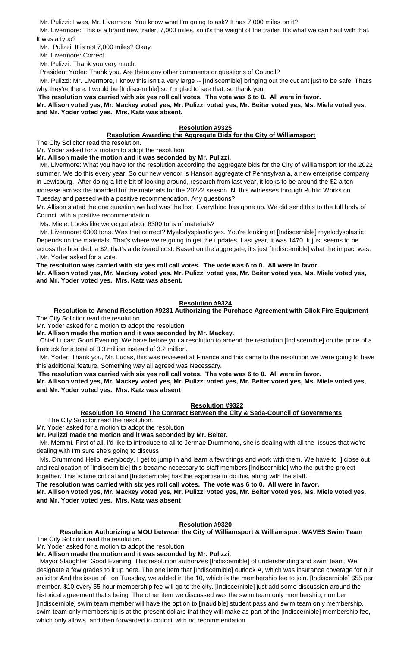Mr. Pulizzi: I was, Mr. Livermore. You know what I'm going to ask? It has 7,000 miles on it?

Mr. Livermore: This is a brand new trailer, 7,000 miles, so it's the weight of the trailer. It's what we can haul with that. It was a typo?

Mr. Pulizzi: It is not 7,000 miles? Okay.

Mr. Livermore: Correct.

Mr. Pulizzi: Thank you very much.

President Yoder: Thank you. Are there any other comments or questions of Council?

 Mr. Pulizzi: Mr. Livermore, I know this isn't a very large -- [Indiscernible] bringing out the cut ant just to be safe. That's why they're there. I would be [Indiscernible] so I'm glad to see that, so thank you.

**The resolution was carried with six yes roll call votes. The vote was 6 to 0. All were in favor.** 

**Mr. Allison voted yes, Mr. Mackey voted yes, Mr. Pulizzi voted yes, Mr. Beiter voted yes, Ms. Miele voted yes, and Mr. Yoder voted yes. Mrs. Katz was absent.**

## **Resolution #9325**

## **Resolution Awarding the Aggregate Bids for the City of Williamsport**

The City Solicitor read the resolution.

Mr. Yoder asked for a motion to adopt the resolution

**Mr. Allison made the motion and it was seconded by Mr. Pulizzi.**

Mr. Livermore: What you have for the resolution according the aggregate bids for the City of Williamsport for the 2022 summer. We do this every year. So our new vendor is Hanson aggregate of Pennsylvania, a new enterprise company in Lewisburg.. After doing a little bit of looking around, research from last year, it looks to be around the \$2 a ton increase across the boarded for the materials for the 20222 season. N. this witnesses through Public Works on Tuesday and passed with a positive recommendation. Any questions?

Mr. Allison stated the one question we had was the lost. Everything has gone up. We did send this to the full body of Council with a positive recommendation.

Ms. Miele: Looks like we've got about 6300 tons of materials?

 Mr. Livermore: 6300 tons. Was that correct? Myelodysplastic yes. You're looking at [Indiscernible] myelodysplastic Depends on the materials. That's where we're going to get the updates. Last year, it was 1470. It just seems to be across the boarded, a \$2, that's a delivered cost. Based on the aggregate, it's just [Indiscernible] what the impact was. . Mr. Yoder asked for a vote.

**The resolution was carried with six yes roll call votes. The vote was 6 to 0. All were in favor. Mr. Allison voted yes, Mr. Mackey voted yes, Mr. Pulizzi voted yes, Mr. Beiter voted yes, Ms. Miele voted yes, and Mr. Yoder voted yes. Mrs. Katz was absent.**

## **Resolution #9324**

**Resolution to Amend Resolution #9281 Authorizing the Purchase Agreement with Glick Fire Equipment** The City Solicitor read the resolution.

Mr. Yoder asked for a motion to adopt the resolution

**Mr. Allison made the motion and it was seconded by Mr. Mackey.**

 Chief Lucas: Good Evening. We have before you a resolution to amend the resolution [Indiscernible] on the price of a firetruck for a total of 3.3 million instead of 3.2 million.

 Mr. Yoder: Thank you, Mr. Lucas, this was reviewed at Finance and this came to the resolution we were going to have this additional feature. Something way all agreed was Necessary.

**The resolution was carried with six yes roll call votes. The vote was 6 to 0. All were in favor.** 

**Mr. Allison voted yes, Mr. Mackey voted yes, Mr. Pulizzi voted yes, Mr. Beiter voted yes, Ms. Miele voted yes, and Mr. Yoder voted yes. Mrs. Katz was absent**

## **Resolution #9322**

## **Resolution To Amend The Contract Between the City & Seda-Council of Governments**

The City Solicitor read the resolution.

Mr. Yoder asked for a motion to adopt the resolution

**Mr. Pulizzi made the motion and it was seconded by Mr. Beiter.**

 Mr. Memmi. First of all, I'd like to introduce to all to Jermae Drummond, she is dealing with all the issues that we're dealing with I'm sure she's going to discuss

 Ms. Drummond Hello, everybody. I get to jump in and learn a few things and work with them. We have to ] close out and reallocation of [Indiscernible] this became necessary to staff members [Indiscernible] who the put the project together. This is time critical and [Indiscernible] has the expertise to do this, along with the staff..

**The resolution was carried with six yes roll call votes. The vote was 6 to 0. All were in favor.** 

**Mr. Allison voted yes, Mr. Mackey voted yes, Mr. Pulizzi voted yes, Mr. Beiter voted yes, Ms. Miele voted yes, and Mr. Yoder voted yes. Mrs. Katz was absent**

## **Resolution #9320**

# **Resolution Authorizing a MOU between the City of Williamsport & Williamsport WAVES Swim Team**

The City Solicitor read the resolution.

Mr. Yoder asked for a motion to adopt the resolution

**Mr. Allison made the motion and it was seconded by Mr. Pulizzi.**

 Mayor Slaughter: Good Evening. This resolution authorizes [Indiscernible] of understanding and swim team. We designate a few grades to it up here. The one item that [Indiscernible] outlook A, which was insurance coverage for our solicitor And the issue of on Tuesday, we added in the 10, which is the membership fee to join. [Indiscernible] \$55 per member. \$10 every 55 hour membership fee will go to the city. [Indiscernible] just add some discussion around the historical agreement that's being The other item we discussed was the swim team only membership, number [Indiscernible] swim team member will have the option to [inaudible] student pass and swim team only membership, swim team only membership is at the present dollars that they will make as part of the [Indiscernible] membership fee, which only allows and then forwarded to council with no recommendation.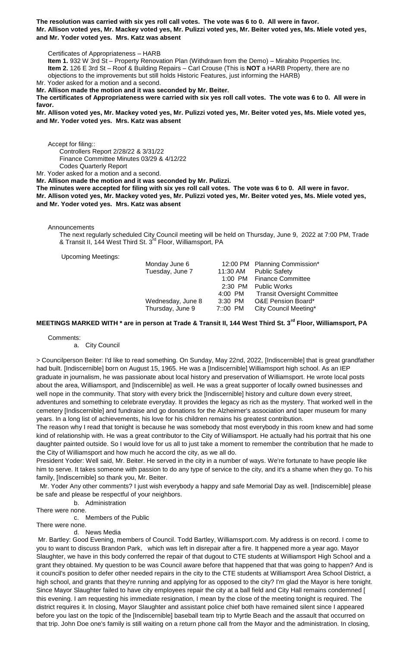**The resolution was carried with six yes roll call votes. The vote was 6 to 0. All were in favor. Mr. Allison voted yes, Mr. Mackey voted yes, Mr. Pulizzi voted yes, Mr. Beiter voted yes, Ms. Miele voted yes, and Mr. Yoder voted yes. Mrs. Katz was absent**

Certificates of Appropriateness – HARB

**Item 1.** 932 W 3rd St – Property Renovation Plan (Withdrawn from the Demo) – Mirabito Properties Inc. **Item 2.** 126 E 3rd St – Roof & Building Repairs – Carl Crouse (This is **NOT** a HARB Property, there are no objections to the improvements but still holds Historic Features, just informing the HARB) Mr. Yoder asked for a motion and a second.

**Mr. Allison made the motion and it was seconded by Mr. Beiter.**

**The certificates of Appropriateness were carried with six yes roll call votes. The vote was 6 to 0. All were in favor.** 

**Mr. Allison voted yes, Mr. Mackey voted yes, Mr. Pulizzi voted yes, Mr. Beiter voted yes, Ms. Miele voted yes, and Mr. Yoder voted yes. Mrs. Katz was absent**

Accept for filing::

Controllers Report 2/28/22 & 3/31/22

Finance Committee Minutes 03/29 & 4/12/22

Codes Quarterly Report

Mr. Yoder asked for a motion and a second.

**Mr. Allison made the motion and it was seconded by Mr. Pulizzi.**

**The minutes were accepted for filing with six yes roll call votes. The vote was 6 to 0. All were in favor. Mr. Allison voted yes, Mr. Mackey voted yes, Mr. Pulizzi voted yes, Mr. Beiter voted yes, Ms. Miele voted yes, and Mr. Yoder voted yes. Mrs. Katz was absent**

Announcements

The next regularly scheduled City Council meeting will be held on Thursday, June 9, 2022 at 7:00 PM, Trade & Transit II, 144 West Third St. 3rd Floor, Williamsport, PA

Upcoming Meetings:

| Monday June 6     |           | 12:00 PM Planning Commission*       |
|-------------------|-----------|-------------------------------------|
| Tuesday, June 7   | 11:30 AM  | <b>Public Safety</b>                |
|                   |           | 1:00 PM Finance Committee           |
|                   | $2:30$ PM | <b>Public Works</b>                 |
|                   |           | 4:00 PM Transit Oversight Committee |
| Wednesday, June 8 | $3:30$ PM | <b>O&amp;E Pension Board*</b>       |
| Thursday, June 9  | 7::00 PM  | City Council Meeting*               |
|                   |           |                                     |

## **MEETINGS MARKED WITH \* are in person at Trade & Transit II, 144 West Third St. 3rd Floor, Williamsport, PA**

Comments:

a. City Council

> Councilperson Beiter: I'd like to read something. On Sunday, May 22nd, 2022, [Indiscernible] that is great grandfather had built. [Indiscernible] born on August 15, 1965. He was a [Indiscernible] Williamsport high school. As an IEP graduate in journalism, he was passionate about local history and preservation of Williamsport. He wrote local posts about the area, Williamsport, and [Indiscernible] as well. He was a great supporter of locally owned businesses and well nope in the community. That story with every brick the [Indiscernible] history and culture down every street, adventures and something to celebrate everyday. It provides the legacy as rich as the mystery. That worked well in the cemetery [Indiscernible] and fundraise and go donations for the Alzheimer's association and taper museum for many years. In a long list of achievements, his love for his children remains his greatest contribution.

The reason why I read that tonight is because he was somebody that most everybody in this room knew and had some kind of relationship with. He was a great contributor to the City of Williamsport. He actually had his portrait that his one daughter painted outside. So I would love for us all to just take a moment to remember the contribution that he made to the City of Williamsport and how much he accord the city, as we all do.

President Yoder: Well said, Mr. Beiter. He served in the city in a number of ways. We're fortunate to have people like him to serve. It takes someone with passion to do any type of service to the city, and it's a shame when they go. To his family, [Indiscernible] so thank you, Mr. Beiter.

 Mr. Yoder Any other comments? I just wish everybody a happy and safe Memorial Day as well. [Indiscernible] please be safe and please be respectful of your neighbors.

b. Administration

There were none. c. Members of the Public

There were none.

d. News Media

Mr. Bartley: Good Evening, members of Council. Todd Bartley, Williamsport.com. My address is on record. I come to you to want to discuss Brandon Park, which was left in disrepair after a fire. It happened more a year ago. Mayor Slaughter, we have in this body conferred the repair of that dugout to CTE students at Williamsport High School and a grant they obtained. My question to be was Council aware before that happened that that was going to happen? And is it council's position to defer other needed repairs in the city to the CTE students at Williamsport Area School District, a high school, and grants that they're running and applying for as opposed to the city? I'm glad the Mayor is here tonight. Since Mayor Slaughter failed to have city employees repair the city at a ball field and City Hall remains condemned [ this evening. I am requesting his immediate resignation, I mean by the close of the meeting tonight is required. The district requires it. In closing, Mayor Slaughter and assistant police chief both have remained silent since I appeared before you last on the topic of the [Indiscernible] baseball team trip to Myrtle Beach and the assault that occurred on that trip. John Doe one's family is still waiting on a return phone call from the Mayor and the administration. In closing,